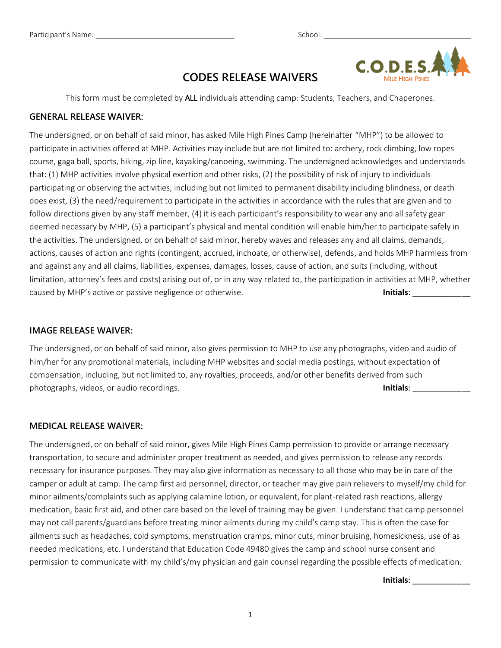

# **CODES RELEASE WAIVERS**

This form must be completed by ALL individuals attending camp: Students, Teachers, and Chaperones.

### **GENERAL RELEASE WAIVER:**

The undersigned, or on behalf of said minor, has asked Mile High Pines Camp (hereinafter "MHP") to be allowed to participate in activities offered at MHP. Activities may include but are not limited to: archery, rock climbing, low ropes course, gaga ball, sports, hiking, zip line, kayaking/canoeing, swimming. The undersigned acknowledges and understands that: (1) MHP activities involve physical exertion and other risks, (2) the possibility of risk of injury to individuals participating or observing the activities, including but not limited to permanent disability including blindness, or death does exist, (3) the need/requirement to participate in the activities in accordance with the rules that are given and to follow directions given by any staff member, (4) it is each participant's responsibility to wear any and all safety gear deemed necessary by MHP, (5) a participant's physical and mental condition will enable him/her to participate safely in the activities. The undersigned, or on behalf of said minor, hereby waves and releases any and all claims, demands, actions, causes of action and rights (contingent, accrued, inchoate, or otherwise), defends, and holds MHP harmless from and against any and all claims, liabilities, expenses, damages, losses, cause of action, and suits (including, without limitation, attorney's fees and costs) arising out of, or in any way related to, the participation in activities at MHP, whether caused by MHP's active or passive negligence or otherwise. **Initials**: \_\_\_\_\_\_\_\_\_\_\_\_\_

### **IMAGE RELEASE WAIVER:**

The undersigned, or on behalf of said minor, also gives permission to MHP to use any photographs, video and audio of him/her for any promotional materials, including MHP websites and social media postings, without expectation of compensation, including, but not limited to, any royalties, proceeds, and/or other benefits derived from such photographs, videos, or audio recordings. **Initials**: \_\_\_\_\_\_\_\_\_\_\_\_\_

#### **MEDICAL RELEASE WAIVER:**

The undersigned, or on behalf of said minor, gives Mile High Pines Camp permission to provide or arrange necessary transportation, to secure and administer proper treatment as needed, and gives permission to release any records necessary for insurance purposes. They may also give information as necessary to all those who may be in care of the camper or adult at camp. The camp first aid personnel, director, or teacher may give pain relievers to myself/my child for minor ailments/complaints such as applying calamine lotion, or equivalent, for plant-related rash reactions, allergy medication, basic first aid, and other care based on the level of training may be given. I understand that camp personnel may not call parents/guardians before treating minor ailments during my child's camp stay. This is often the case for ailments such as headaches, cold symptoms, menstruation cramps, minor cuts, minor bruising, homesickness, use of as needed medications, etc. I understand that Education Code 49480 gives the camp and school nurse consent and permission to communicate with my child's/my physician and gain counsel regarding the possible effects of medication.

**Initials**: \_\_\_\_\_\_\_\_\_\_\_\_\_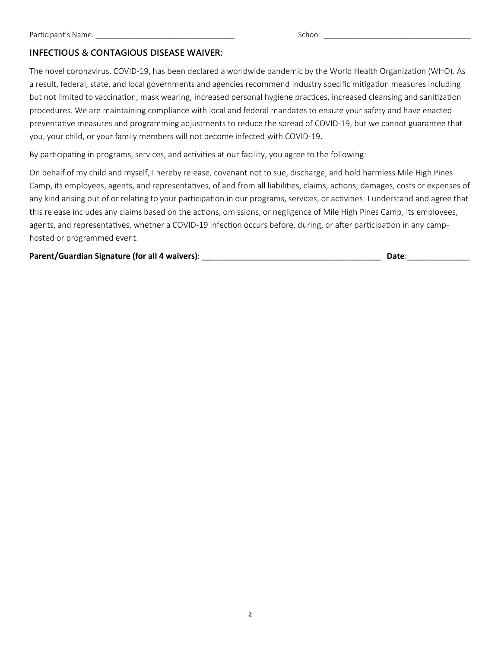## **INFECTIOUS & CONTAGIOUS DISEASE WAIVER:**

The novel coronavirus, COVID-19, has been declared a worldwide pandemic by the World Health Organization (WHO). As a result, federal, state, and local governments and agencies recommend industry specific mitigation measures including but not limited to vaccination, mask wearing, increased personal hygiene practices, increased cleansing and sanitization procedures. We are maintaining compliance with local and federal mandates to ensure your safety and have enacted preventative measures and programming adjustments to reduce the spread of COVID-19, but we cannot guarantee that you, your child, or your family members will not become infected with COVID-19.

By participating in programs, services, and activities at our facility, you agree to the following:

On behalf of my child and myself, I hereby release, covenant not to sue, discharge, and hold harmless Mile High Pines Camp, its employees, agents, and representatives, of and from all liabilities, claims, actions, damages, costs or expenses of any kind arising out of or relating to your participation in our programs, services, or activities. I understand and agree that this release includes any claims based on the actions, omissions, or negligence of Mile High Pines Camp, its employees, agents, and representatives, whether a COVID-19 infection occurs before, during, or after participation in any camphosted or programmed event.

**Parent/Guardian Signature (for all 4 waivers)**: \_\_\_\_\_\_\_\_\_\_\_\_\_\_\_\_\_\_\_\_\_\_\_\_\_\_\_\_\_\_\_\_\_\_\_\_\_\_\_\_ **Date**:\_\_\_\_\_\_\_\_\_\_\_\_\_\_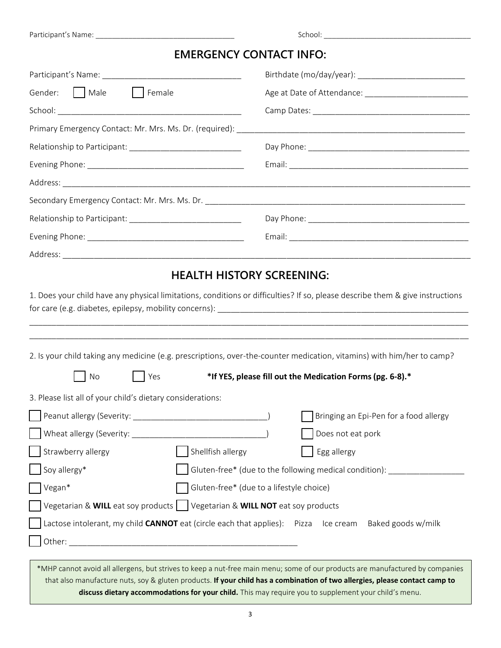|                                                                             | <b>EMERGENCY CONTACT INFO:</b>                                                                                                                                    |  |  |  |
|-----------------------------------------------------------------------------|-------------------------------------------------------------------------------------------------------------------------------------------------------------------|--|--|--|
|                                                                             |                                                                                                                                                                   |  |  |  |
| Gender:     Male<br>$\vert$   Female                                        | Age at Date of Attendance: ____________________________                                                                                                           |  |  |  |
|                                                                             |                                                                                                                                                                   |  |  |  |
|                                                                             |                                                                                                                                                                   |  |  |  |
|                                                                             |                                                                                                                                                                   |  |  |  |
|                                                                             |                                                                                                                                                                   |  |  |  |
|                                                                             |                                                                                                                                                                   |  |  |  |
|                                                                             |                                                                                                                                                                   |  |  |  |
|                                                                             |                                                                                                                                                                   |  |  |  |
|                                                                             |                                                                                                                                                                   |  |  |  |
|                                                                             |                                                                                                                                                                   |  |  |  |
|                                                                             | <b>HEALTH HISTORY SCREENING:</b><br>1. Does your child have any physical limitations, conditions or difficulties? If so, please describe them & give instructions |  |  |  |
|                                                                             | 2. Is your child taking any medicine (e.g. prescriptions, over-the-counter medication, vitamins) with him/her to camp?                                            |  |  |  |
| No<br>Yes                                                                   | *If YES, please fill out the Medication Forms (pg. 6-8).*                                                                                                         |  |  |  |
|                                                                             |                                                                                                                                                                   |  |  |  |
|                                                                             | Bringing an Epi-Pen for a food allergy                                                                                                                            |  |  |  |
|                                                                             | Does not eat pork                                                                                                                                                 |  |  |  |
| Shellfish allergy<br>Strawberry allergy                                     | Egg allergy                                                                                                                                                       |  |  |  |
| Soy allergy*                                                                | Gluten-free* (due to the following medical condition): ____________                                                                                               |  |  |  |
| Vegan*                                                                      | Gluten-free* (due to a lifestyle choice)                                                                                                                          |  |  |  |
| Vegetarian & WILL eat soy products   Vegetarian & WILL NOT eat soy products |                                                                                                                                                                   |  |  |  |
| 3. Please list all of your child's dietary considerations:                  | Lactose intolerant, my child <b>CANNOT</b> eat (circle each that applies): Pizza Ice cream Baked goods w/milk                                                     |  |  |  |

**discuss dietary accommodations for your child.** This may require you to supplement your child's menu.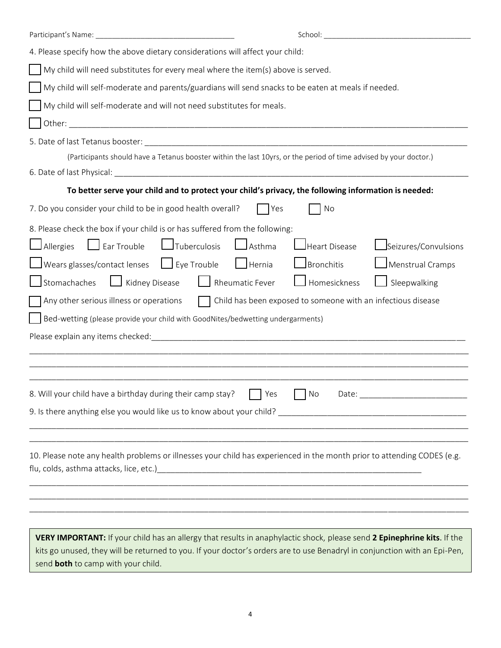| 4. Please specify how the above dietary considerations will affect your child:                                                                                                                                                                                                                                                                                                                                                                                                                                                                                                                                                                                                                                                                                                                                                                     |  |  |  |  |  |  |  |  |  |
|----------------------------------------------------------------------------------------------------------------------------------------------------------------------------------------------------------------------------------------------------------------------------------------------------------------------------------------------------------------------------------------------------------------------------------------------------------------------------------------------------------------------------------------------------------------------------------------------------------------------------------------------------------------------------------------------------------------------------------------------------------------------------------------------------------------------------------------------------|--|--|--|--|--|--|--|--|--|
| My child will need substitutes for every meal where the item(s) above is served.                                                                                                                                                                                                                                                                                                                                                                                                                                                                                                                                                                                                                                                                                                                                                                   |  |  |  |  |  |  |  |  |  |
| My child will self-moderate and parents/guardians will send snacks to be eaten at meals if needed.                                                                                                                                                                                                                                                                                                                                                                                                                                                                                                                                                                                                                                                                                                                                                 |  |  |  |  |  |  |  |  |  |
| My child will self-moderate and will not need substitutes for meals.                                                                                                                                                                                                                                                                                                                                                                                                                                                                                                                                                                                                                                                                                                                                                                               |  |  |  |  |  |  |  |  |  |
|                                                                                                                                                                                                                                                                                                                                                                                                                                                                                                                                                                                                                                                                                                                                                                                                                                                    |  |  |  |  |  |  |  |  |  |
|                                                                                                                                                                                                                                                                                                                                                                                                                                                                                                                                                                                                                                                                                                                                                                                                                                                    |  |  |  |  |  |  |  |  |  |
| (Participants should have a Tetanus booster within the last 10yrs, or the period of time advised by your doctor.)                                                                                                                                                                                                                                                                                                                                                                                                                                                                                                                                                                                                                                                                                                                                  |  |  |  |  |  |  |  |  |  |
|                                                                                                                                                                                                                                                                                                                                                                                                                                                                                                                                                                                                                                                                                                                                                                                                                                                    |  |  |  |  |  |  |  |  |  |
| To better serve your child and to protect your child's privacy, the following information is needed:                                                                                                                                                                                                                                                                                                                                                                                                                                                                                                                                                                                                                                                                                                                                               |  |  |  |  |  |  |  |  |  |
| 7. Do you consider your child to be in good health overall?<br>$\overline{\phantom{a}}$ No<br>  Yes                                                                                                                                                                                                                                                                                                                                                                                                                                                                                                                                                                                                                                                                                                                                                |  |  |  |  |  |  |  |  |  |
| 8. Please check the box if your child is or has suffered from the following:<br>$\Box$ Allergies $\Box$ Ear Trouble $\Box$ Tuberculosis<br>$\Box$ Asthma<br>$\mathsf{\mathsf{J}}$ Heart Disease<br>Seizures/Convulsions<br>$\Box$ Wears glasses/contact lenses $\Box$ Eye Trouble $\Box$ Hernia<br>$\Box$ Bronchitis<br>Menstrual Cramps<br>Kidney Disease   Rheumatic Fever<br>$\rfloor$ Homesickness<br>Stomachaches<br>Sleepwalking<br>Child has been exposed to someone with an infectious disease<br>Any other serious illness or operations<br>Bed-wetting (please provide your child with GoodNites/bedwetting undergarments)<br><u> 1989 - Johann John Stone, market fan de Fryske kun it ferskearre fan de fan de fan de fan de fan de fan de fa</u><br>8. Will your child have a birthday during their camp stay? $\Box$ Yes<br>No Date: |  |  |  |  |  |  |  |  |  |
| 10. Please note any health problems or illnesses your child has experienced in the month prior to attending CODES (e.g.                                                                                                                                                                                                                                                                                                                                                                                                                                                                                                                                                                                                                                                                                                                            |  |  |  |  |  |  |  |  |  |
| VERY IMPORTANT: If your child has an allergy that results in anaphylactic shock, please send 2 Epinephrine kits. If the                                                                                                                                                                                                                                                                                                                                                                                                                                                                                                                                                                                                                                                                                                                            |  |  |  |  |  |  |  |  |  |

kits go unused, they will be returned to you. If your doctor's orders are to use Benadryl in conjunction with an Epi-Pen, send **both** to camp with your child.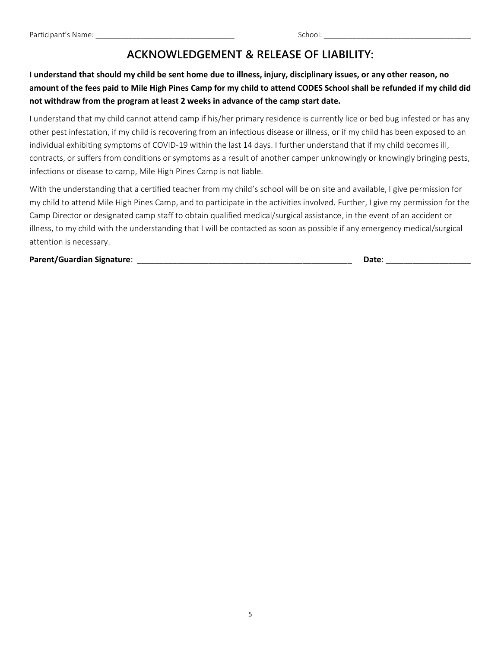# **ACKNOWLEDGEMENT & RELEASE OF LIABILITY:**

## **I understand that should my child be sent home due to illness, injury, disciplinary issues, or any other reason, no amount of the fees paid to Mile High Pines Camp for my child to attend CODES School shall be refunded if my child did not withdraw from the program at least 2 weeks in advance of the camp start date.**

I understand that my child cannot attend camp if his/her primary residence is currently lice or bed bug infested or has any other pest infestation, if my child is recovering from an infectious disease or illness, or if my child has been exposed to an individual exhibiting symptoms of COVID-19 within the last 14 days. I further understand that if my child becomes ill, contracts, or suffers from conditions or symptoms as a result of another camper unknowingly or knowingly bringing pests, infections or disease to camp, Mile High Pines Camp is not liable.

With the understanding that a certified teacher from my child's school will be on site and available, I give permission for my child to attend Mile High Pines Camp, and to participate in the activities involved. Further, I give my permission for the Camp Director or designated camp staff to obtain qualified medical/surgical assistance, in the event of an accident or illness, to my child with the understanding that I will be contacted as soon as possible if any emergency medical/surgical attention is necessary.

**Parent/Guardian Signature**: \_\_\_\_\_\_\_\_\_\_\_\_\_\_\_\_\_\_\_\_\_\_\_\_\_\_\_\_\_\_\_\_\_\_\_\_\_\_\_\_\_\_\_\_\_\_\_\_ **Date**: \_\_\_\_\_\_\_\_\_\_\_\_\_\_\_\_\_\_\_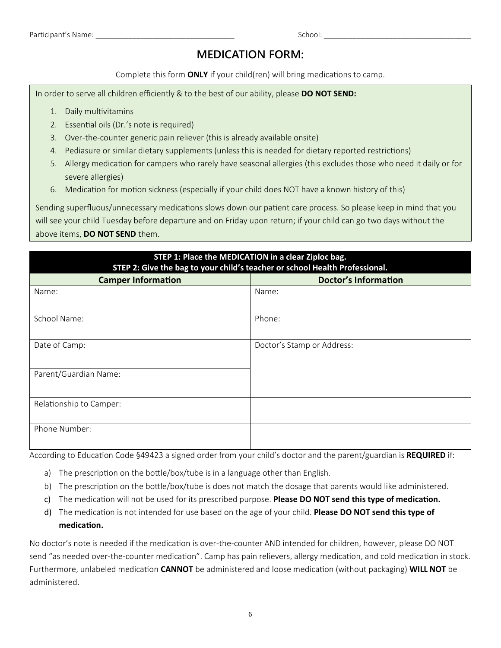## **MEDICATION FORM:**

Complete this form **ONLY** if your child(ren) will bring medications to camp.

In order to serve all children efficiently & to the best of our ability, please **DO NOT SEND:**

- 1. Daily multivitamins
- 2. Essential oils (Dr.'s note is required)
- 3. Over-the-counter generic pain reliever (this is already available onsite)
- 4. Pediasure or similar dietary supplements (unless this is needed for dietary reported restrictions)
- 5. Allergy medication for campers who rarely have seasonal allergies (this excludes those who need it daily or for severe allergies)
- 6. Medication for motion sickness (especially if your child does NOT have a known history of this)

Sending superfluous/unnecessary medications slows down our patient care process. So please keep in mind that you will see your child Tuesday before departure and on Friday upon return; if your child can go two days without the above items, **DO NOT SEND** them.

| STEP 1: Place the MEDICATION in a clear Ziploc bag.<br>STEP 2: Give the bag to your child's teacher or school Health Professional. |                             |  |  |  |  |  |  |  |
|------------------------------------------------------------------------------------------------------------------------------------|-----------------------------|--|--|--|--|--|--|--|
| <b>Camper Information</b>                                                                                                          | <b>Doctor's Information</b> |  |  |  |  |  |  |  |
| Name:                                                                                                                              | Name:                       |  |  |  |  |  |  |  |
| School Name:                                                                                                                       | Phone:                      |  |  |  |  |  |  |  |
| Date of Camp:                                                                                                                      | Doctor's Stamp or Address:  |  |  |  |  |  |  |  |
| Parent/Guardian Name:                                                                                                              |                             |  |  |  |  |  |  |  |
| Relationship to Camper:                                                                                                            |                             |  |  |  |  |  |  |  |
| Phone Number:                                                                                                                      |                             |  |  |  |  |  |  |  |

According to Education Code §49423 a signed order from your child's doctor and the parent/guardian is **REQUIRED** if:

- a) The prescription on the bottle/box/tube is in a language other than English.
- b) The prescription on the bottle/box/tube is does not match the dosage that parents would like administered.
- c) The medication will not be used for its prescribed purpose. **Please DO NOT send this type of medication.**
- d) The medication is not intended for use based on the age of your child. **Please DO NOT send this type of medication.**

No doctor's note is needed if the medication is over-the-counter AND intended for children, however, please DO NOT send "as needed over-the-counter medication". Camp has pain relievers, allergy medication, and cold medication in stock. Furthermore, unlabeled medication **CANNOT** be administered and loose medication (without packaging) **WILL NOT** be administered.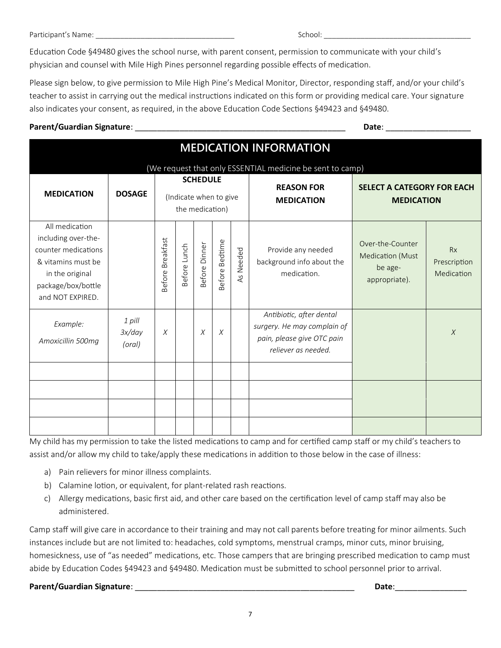Education Code §49480 gives the school nurse, with parent consent, permission to communicate with your child's physician and counsel with Mile High Pines personnel regarding possible effects of medication.

Please sign below, to give permission to Mile High Pine's Medical Monitor, Director, responding staff, and/or your child's teacher to assist in carrying out the medical instructions indicated on this form or providing medical care. Your signature also indicates your consent, as required, in the above Education Code Sections §49423 and §49480.

### **Parent/Guardian Signature**: \_\_\_\_\_\_\_\_\_\_\_\_\_\_\_\_\_\_\_\_\_\_\_\_\_\_\_\_\_\_\_\_\_\_\_\_\_\_\_\_\_\_\_\_\_\_\_ **Date**: \_\_\_\_\_\_\_\_\_\_\_\_\_\_\_\_\_\_\_

| <b>MEDICATION INFORMATION</b>                                                                                                                   |                            |                                                              |              |               |                |              |                                                                                                              |                                                                         |                                         |  |  |  |  |
|-------------------------------------------------------------------------------------------------------------------------------------------------|----------------------------|--------------------------------------------------------------|--------------|---------------|----------------|--------------|--------------------------------------------------------------------------------------------------------------|-------------------------------------------------------------------------|-----------------------------------------|--|--|--|--|
| <b>MEDICATION</b>                                                                                                                               | <b>DOSAGE</b>              | <b>SCHEDULE</b><br>(Indicate when to give<br>the medication) |              |               |                |              | (We request that only ESSENTIAL medicine be sent to camp)<br><b>REASON FOR</b><br><b>MEDICATION</b>          | <b>SELECT A CATEGORY FOR EACH</b><br><b>MEDICATION</b>                  |                                         |  |  |  |  |
| All medication<br>including over-the-<br>counter medications<br>& vitamins must be<br>in the original<br>package/box/bottle<br>and NOT EXPIRED. |                            | Before Breakfast                                             | Before Lunch | 3efore Dinner | Before Bedtime | Needed<br>45 | Provide any needed<br>background info about the<br>medication.                                               | Over-the-Counter<br><b>Medication (Must</b><br>be age-<br>appropriate). | <b>Rx</b><br>Prescription<br>Medication |  |  |  |  |
| Example:<br>Amoxicillin 500mg                                                                                                                   | 1 pill<br>3x/day<br>(oral) | X                                                            |              | X             | X              |              | Antibiotic, after dental<br>surgery. He may complain of<br>pain, please give OTC pain<br>reliever as needed. |                                                                         | $\chi$                                  |  |  |  |  |
|                                                                                                                                                 |                            |                                                              |              |               |                |              |                                                                                                              |                                                                         |                                         |  |  |  |  |
|                                                                                                                                                 |                            |                                                              |              |               |                |              |                                                                                                              |                                                                         |                                         |  |  |  |  |

My child has my permission to take the listed medications to camp and for certified camp staff or my child's teachers to assist and/or allow my child to take/apply these medications in addition to those below in the case of illness:

- a) Pain relievers for minor illness complaints.
- b) Calamine lotion, or equivalent, for plant-related rash reactions.
- c) Allergy medications, basic first aid, and other care based on the certification level of camp staff may also be administered.

Camp staff will give care in accordance to their training and may not call parents before treating for minor ailments. Such instances include but are not limited to: headaches, cold symptoms, menstrual cramps, minor cuts, minor bruising, homesickness, use of "as needed" medications, etc. Those campers that are bringing prescribed medication to camp must abide by Education Codes §49423 and §49480. Medication must be submitted to school personnel prior to arrival.

## **Parent/Guardian Signature**: \_\_\_\_\_\_\_\_\_\_\_\_\_\_\_\_\_\_\_\_\_\_\_\_\_\_\_\_\_\_\_\_\_\_\_\_\_\_\_\_\_\_\_\_\_\_\_\_\_ **Date**:\_\_\_\_\_\_\_\_\_\_\_\_\_\_\_\_